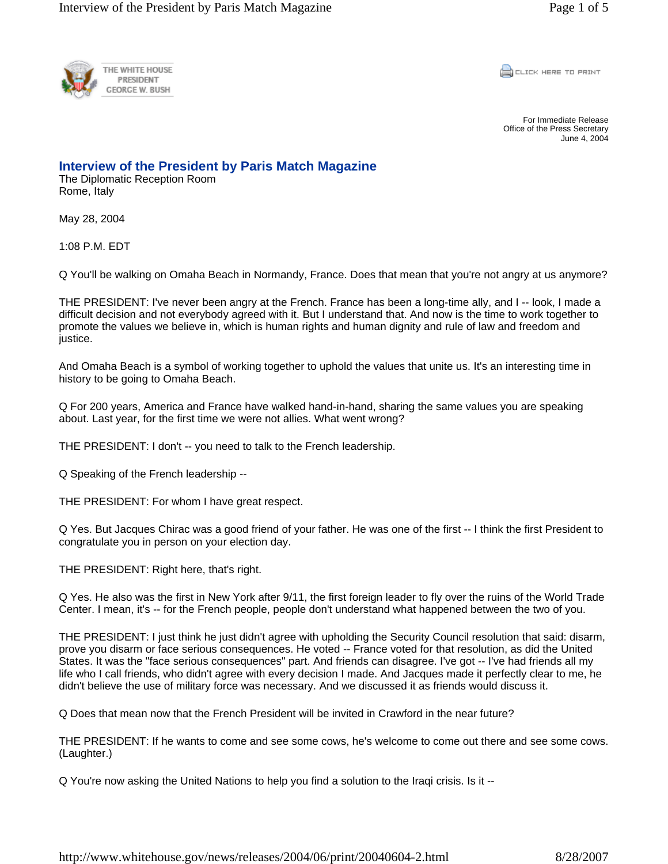

CLICK HERE TO PRINT

For Immediate Release Office of the Press Secretary June 4, 2004

## **Interview of the President by Paris Match Magazine**

The Diplomatic Reception Room Rome, Italy

May 28, 2004

1:08 P.M. EDT

Q You'll be walking on Omaha Beach in Normandy, France. Does that mean that you're not angry at us anymore?

THE PRESIDENT: I've never been angry at the French. France has been a long-time ally, and I -- look, I made a difficult decision and not everybody agreed with it. But I understand that. And now is the time to work together to promote the values we believe in, which is human rights and human dignity and rule of law and freedom and justice.

And Omaha Beach is a symbol of working together to uphold the values that unite us. It's an interesting time in history to be going to Omaha Beach.

Q For 200 years, America and France have walked hand-in-hand, sharing the same values you are speaking about. Last year, for the first time we were not allies. What went wrong?

THE PRESIDENT: I don't -- you need to talk to the French leadership.

Q Speaking of the French leadership --

THE PRESIDENT: For whom I have great respect.

Q Yes. But Jacques Chirac was a good friend of your father. He was one of the first -- I think the first President to congratulate you in person on your election day.

THE PRESIDENT: Right here, that's right.

Q Yes. He also was the first in New York after 9/11, the first foreign leader to fly over the ruins of the World Trade Center. I mean, it's -- for the French people, people don't understand what happened between the two of you.

THE PRESIDENT: I just think he just didn't agree with upholding the Security Council resolution that said: disarm, prove you disarm or face serious consequences. He voted -- France voted for that resolution, as did the United States. It was the "face serious consequences" part. And friends can disagree. I've got -- I've had friends all my life who I call friends, who didn't agree with every decision I made. And Jacques made it perfectly clear to me, he didn't believe the use of military force was necessary. And we discussed it as friends would discuss it.

Q Does that mean now that the French President will be invited in Crawford in the near future?

THE PRESIDENT: If he wants to come and see some cows, he's welcome to come out there and see some cows. (Laughter.)

Q You're now asking the United Nations to help you find a solution to the Iraqi crisis. Is it --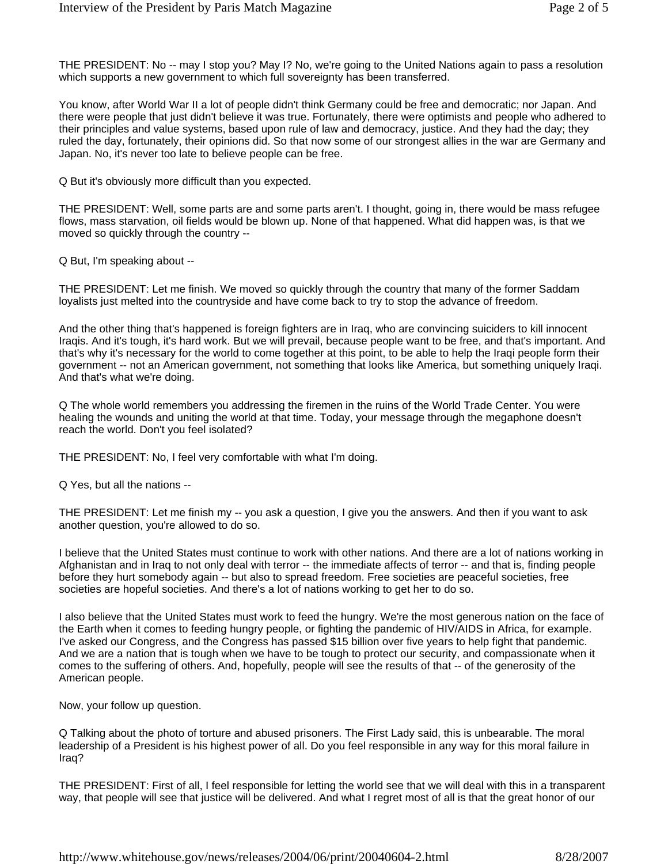THE PRESIDENT: No -- may I stop you? May I? No, we're going to the United Nations again to pass a resolution which supports a new government to which full sovereignty has been transferred.

You know, after World War II a lot of people didn't think Germany could be free and democratic; nor Japan. And there were people that just didn't believe it was true. Fortunately, there were optimists and people who adhered to their principles and value systems, based upon rule of law and democracy, justice. And they had the day; they ruled the day, fortunately, their opinions did. So that now some of our strongest allies in the war are Germany and Japan. No, it's never too late to believe people can be free.

Q But it's obviously more difficult than you expected.

THE PRESIDENT: Well, some parts are and some parts aren't. I thought, going in, there would be mass refugee flows, mass starvation, oil fields would be blown up. None of that happened. What did happen was, is that we moved so quickly through the country --

Q But, I'm speaking about --

THE PRESIDENT: Let me finish. We moved so quickly through the country that many of the former Saddam loyalists just melted into the countryside and have come back to try to stop the advance of freedom.

And the other thing that's happened is foreign fighters are in Iraq, who are convincing suiciders to kill innocent Iraqis. And it's tough, it's hard work. But we will prevail, because people want to be free, and that's important. And that's why it's necessary for the world to come together at this point, to be able to help the Iraqi people form their government -- not an American government, not something that looks like America, but something uniquely Iraqi. And that's what we're doing.

Q The whole world remembers you addressing the firemen in the ruins of the World Trade Center. You were healing the wounds and uniting the world at that time. Today, your message through the megaphone doesn't reach the world. Don't you feel isolated?

THE PRESIDENT: No, I feel very comfortable with what I'm doing.

Q Yes, but all the nations --

THE PRESIDENT: Let me finish my -- you ask a question, I give you the answers. And then if you want to ask another question, you're allowed to do so.

I believe that the United States must continue to work with other nations. And there are a lot of nations working in Afghanistan and in Iraq to not only deal with terror -- the immediate affects of terror -- and that is, finding people before they hurt somebody again -- but also to spread freedom. Free societies are peaceful societies, free societies are hopeful societies. And there's a lot of nations working to get her to do so.

I also believe that the United States must work to feed the hungry. We're the most generous nation on the face of the Earth when it comes to feeding hungry people, or fighting the pandemic of HIV/AIDS in Africa, for example. I've asked our Congress, and the Congress has passed \$15 billion over five years to help fight that pandemic. And we are a nation that is tough when we have to be tough to protect our security, and compassionate when it comes to the suffering of others. And, hopefully, people will see the results of that -- of the generosity of the American people.

Now, your follow up question.

Q Talking about the photo of torture and abused prisoners. The First Lady said, this is unbearable. The moral leadership of a President is his highest power of all. Do you feel responsible in any way for this moral failure in Iraq?

THE PRESIDENT: First of all, I feel responsible for letting the world see that we will deal with this in a transparent way, that people will see that justice will be delivered. And what I regret most of all is that the great honor of our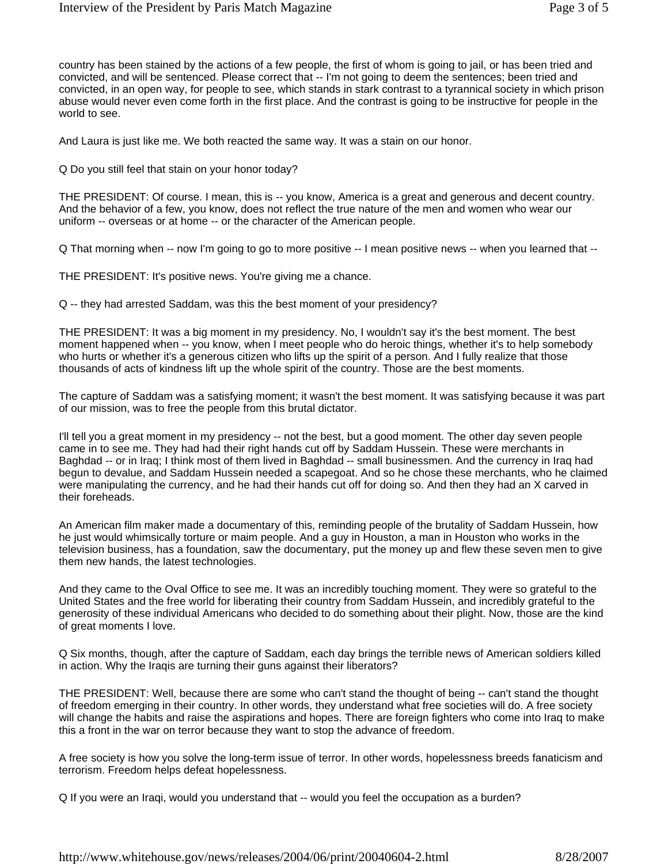country has been stained by the actions of a few people, the first of whom is going to jail, or has been tried and convicted, and will be sentenced. Please correct that -- I'm not going to deem the sentences; been tried and convicted, in an open way, for people to see, which stands in stark contrast to a tyrannical society in which prison abuse would never even come forth in the first place. And the contrast is going to be instructive for people in the world to see.

And Laura is just like me. We both reacted the same way. It was a stain on our honor.

Q Do you still feel that stain on your honor today?

THE PRESIDENT: Of course. I mean, this is -- you know, America is a great and generous and decent country. And the behavior of a few, you know, does not reflect the true nature of the men and women who wear our uniform -- overseas or at home -- or the character of the American people.

Q That morning when -- now I'm going to go to more positive -- I mean positive news -- when you learned that --

THE PRESIDENT: It's positive news. You're giving me a chance.

Q -- they had arrested Saddam, was this the best moment of your presidency?

THE PRESIDENT: It was a big moment in my presidency. No, I wouldn't say it's the best moment. The best moment happened when -- you know, when I meet people who do heroic things, whether it's to help somebody who hurts or whether it's a generous citizen who lifts up the spirit of a person. And I fully realize that those thousands of acts of kindness lift up the whole spirit of the country. Those are the best moments.

The capture of Saddam was a satisfying moment; it wasn't the best moment. It was satisfying because it was part of our mission, was to free the people from this brutal dictator.

I'll tell you a great moment in my presidency -- not the best, but a good moment. The other day seven people came in to see me. They had had their right hands cut off by Saddam Hussein. These were merchants in Baghdad -- or in Iraq; I think most of them lived in Baghdad -- small businessmen. And the currency in Iraq had begun to devalue, and Saddam Hussein needed a scapegoat. And so he chose these merchants, who he claimed were manipulating the currency, and he had their hands cut off for doing so. And then they had an X carved in their foreheads.

An American film maker made a documentary of this, reminding people of the brutality of Saddam Hussein, how he just would whimsically torture or maim people. And a guy in Houston, a man in Houston who works in the television business, has a foundation, saw the documentary, put the money up and flew these seven men to give them new hands, the latest technologies.

And they came to the Oval Office to see me. It was an incredibly touching moment. They were so grateful to the United States and the free world for liberating their country from Saddam Hussein, and incredibly grateful to the generosity of these individual Americans who decided to do something about their plight. Now, those are the kind of great moments I love.

Q Six months, though, after the capture of Saddam, each day brings the terrible news of American soldiers killed in action. Why the Iraqis are turning their guns against their liberators?

THE PRESIDENT: Well, because there are some who can't stand the thought of being -- can't stand the thought of freedom emerging in their country. In other words, they understand what free societies will do. A free society will change the habits and raise the aspirations and hopes. There are foreign fighters who come into Iraq to make this a front in the war on terror because they want to stop the advance of freedom.

A free society is how you solve the long-term issue of terror. In other words, hopelessness breeds fanaticism and terrorism. Freedom helps defeat hopelessness.

Q If you were an Iraqi, would you understand that -- would you feel the occupation as a burden?

http://www.whitehouse.gov/news/releases/2004/06/print/20040604-2.html 8/28/2007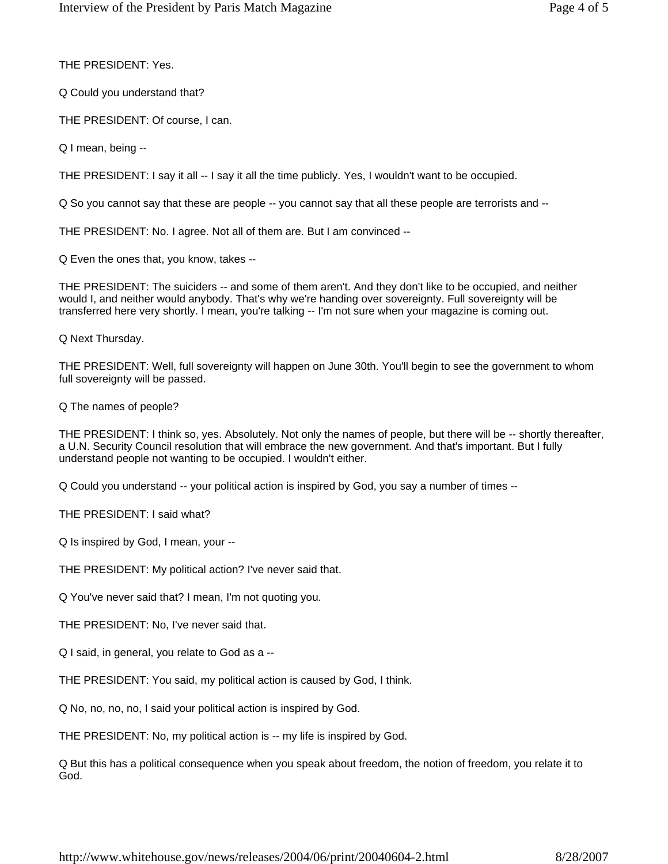THE PRESIDENT: Yes.

Q Could you understand that?

THE PRESIDENT: Of course, I can.

Q I mean, being --

THE PRESIDENT: I say it all -- I say it all the time publicly. Yes, I wouldn't want to be occupied.

Q So you cannot say that these are people -- you cannot say that all these people are terrorists and --

THE PRESIDENT: No. I agree. Not all of them are. But I am convinced --

Q Even the ones that, you know, takes --

THE PRESIDENT: The suiciders -- and some of them aren't. And they don't like to be occupied, and neither would I, and neither would anybody. That's why we're handing over sovereignty. Full sovereignty will be transferred here very shortly. I mean, you're talking -- I'm not sure when your magazine is coming out.

Q Next Thursday.

THE PRESIDENT: Well, full sovereignty will happen on June 30th. You'll begin to see the government to whom full sovereignty will be passed.

Q The names of people?

THE PRESIDENT: I think so, yes. Absolutely. Not only the names of people, but there will be -- shortly thereafter, a U.N. Security Council resolution that will embrace the new government. And that's important. But I fully understand people not wanting to be occupied. I wouldn't either.

Q Could you understand -- your political action is inspired by God, you say a number of times --

THE PRESIDENT: I said what?

Q Is inspired by God, I mean, your --

THE PRESIDENT: My political action? I've never said that.

Q You've never said that? I mean, I'm not quoting you.

THE PRESIDENT: No, I've never said that.

Q I said, in general, you relate to God as a --

THE PRESIDENT: You said, my political action is caused by God, I think.

Q No, no, no, no, I said your political action is inspired by God.

THE PRESIDENT: No, my political action is -- my life is inspired by God.

Q But this has a political consequence when you speak about freedom, the notion of freedom, you relate it to God.

http://www.whitehouse.gov/news/releases/2004/06/print/20040604-2.html 8/28/2007